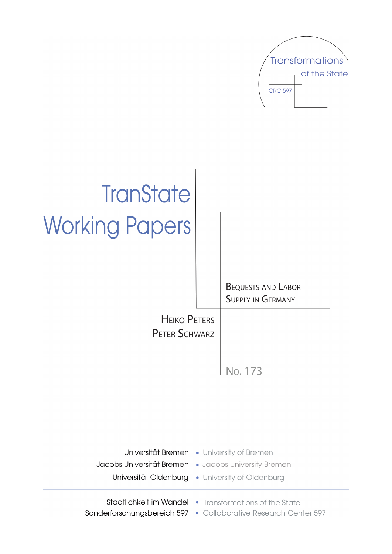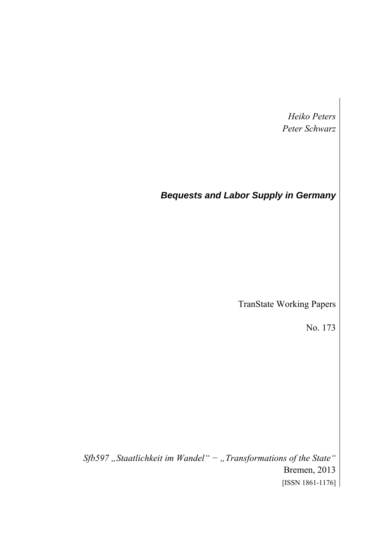*Heiko Peters Peter Schwarz* 

# *Bequests and Labor Supply in Germany*

TranState Working Papers

No. 173

*Sfb597 "Staatlichkeit im Wandel" − "Transformations of the State"*  Bremen, 2013 [ISSN 1861-1176]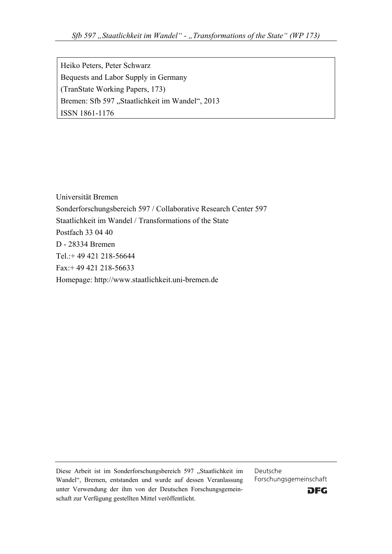Heiko Peters, Peter Schwarz Bequests and Labor Supply in Germany (TranState Working Papers, 173) Bremen: Sfb 597 "Staatlichkeit im Wandel", 2013 ISSN 1861-1176

Universität Bremen Sonderforschungsbereich 597 / Collaborative Research Center 597 Staatlichkeit im Wandel / Transformations of the State Postfach 33 04 40 D - 28334 Bremen Tel.:+ 49 421 218-56644 Fax:+ 49 421 218-56633 Homepage: http://www.staatlichkeit.uni-bremen.de

Diese Arbeit ist im Sonderforschungsbereich 597 "Staatlichkeit im Wandel", Bremen, entstanden und wurde auf dessen Veranlassung unter Verwendung der ihm von der Deutschen Forschungsgemeinschaft zur Verfügung gestellten Mittel veröffentlicht.

Deutsche Forschungsgemeinschaft

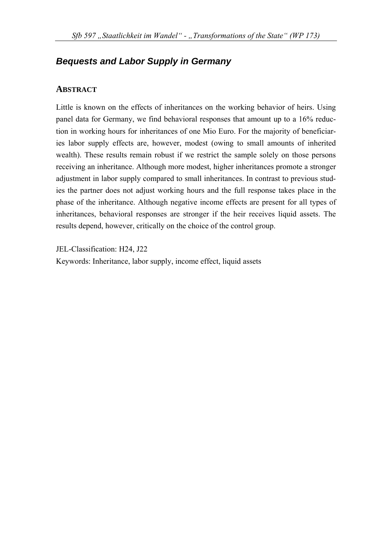# *Bequests and Labor Supply in Germany*

## **ABSTRACT**

Little is known on the effects of inheritances on the working behavior of heirs. Using panel data for Germany, we find behavioral responses that amount up to a 16% reduction in working hours for inheritances of one Mio Euro. For the majority of beneficiaries labor supply effects are, however, modest (owing to small amounts of inherited wealth). These results remain robust if we restrict the sample solely on those persons receiving an inheritance. Although more modest, higher inheritances promote a stronger adjustment in labor supply compared to small inheritances. In contrast to previous studies the partner does not adjust working hours and the full response takes place in the phase of the inheritance. Although negative income effects are present for all types of inheritances, behavioral responses are stronger if the heir receives liquid assets. The results depend, however, critically on the choice of the control group.

JEL-Classification: H24, J22

Keywords: Inheritance, labor supply, income effect, liquid assets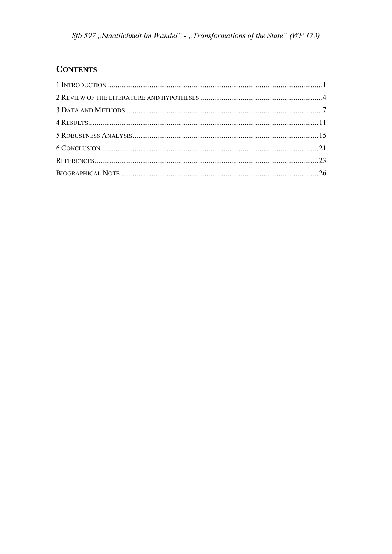# **CONTENTS**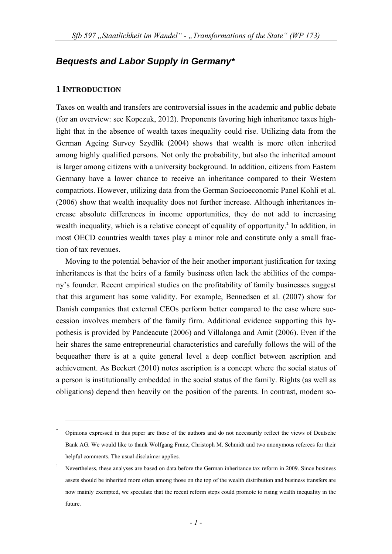## *Bequests and Labor Supply in Germany\**

### **1 INTRODUCTION**

1

Taxes on wealth and transfers are controversial issues in the academic and public debate (for an overview: see Kopczuk, 2012). Proponents favoring high inheritance taxes highlight that in the absence of wealth taxes inequality could rise. Utilizing data from the German Ageing Survey Szydlik (2004) shows that wealth is more often inherited among highly qualified persons. Not only the probability, but also the inherited amount is larger among citizens with a university background. In addition, citizens from Eastern Germany have a lower chance to receive an inheritance compared to their Western compatriots. However, utilizing data from the German Socioeconomic Panel Kohli et al. (2006) show that wealth inequality does not further increase. Although inheritances increase absolute differences in income opportunities, they do not add to increasing wealth inequality, which is a relative concept of equality of opportunity.<sup>1</sup> In addition, in most OECD countries wealth taxes play a minor role and constitute only a small fraction of tax revenues.

Moving to the potential behavior of the heir another important justification for taxing inheritances is that the heirs of a family business often lack the abilities of the company's founder. Recent empirical studies on the profitability of family businesses suggest that this argument has some validity. For example, Bennedsen et al. (2007) show for Danish companies that external CEOs perform better compared to the case where succession involves members of the family firm. Additional evidence supporting this hypothesis is provided by Pandeacute (2006) and Villalonga and Amit (2006). Even if the heir shares the same entrepreneurial characteristics and carefully follows the will of the bequeather there is at a quite general level a deep conflict between ascription and achievement. As Beckert (2010) notes ascription is a concept where the social status of a person is institutionally embedded in the social status of the family. Rights (as well as obligations) depend then heavily on the position of the parents. In contrast, modern so-

<sup>\*</sup> Opinions expressed in this paper are those of the authors and do not necessarily reflect the views of Deutsche Bank AG. We would like to thank Wolfgang Franz, Christoph M. Schmidt and two anonymous referees for their helpful comments. The usual disclaimer applies.

<sup>1</sup> Nevertheless, these analyses are based on data before the German inheritance tax reform in 2009. Since business assets should be inherited more often among those on the top of the wealth distribution and business transfers are now mainly exempted, we speculate that the recent reform steps could promote to rising wealth inequality in the future.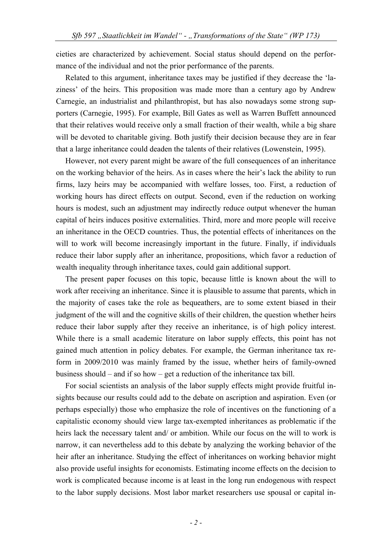cieties are characterized by achievement. Social status should depend on the performance of the individual and not the prior performance of the parents.

Related to this argument, inheritance taxes may be justified if they decrease the 'laziness' of the heirs. This proposition was made more than a century ago by Andrew Carnegie, an industrialist and philanthropist, but has also nowadays some strong supporters (Carnegie, 1995). For example, Bill Gates as well as Warren Buffett announced that their relatives would receive only a small fraction of their wealth, while a big share will be devoted to charitable giving. Both justify their decision because they are in fear that a large inheritance could deaden the talents of their relatives (Lowenstein, 1995).

However, not every parent might be aware of the full consequences of an inheritance on the working behavior of the heirs. As in cases where the heir's lack the ability to run firms, lazy heirs may be accompanied with welfare losses, too. First, a reduction of working hours has direct effects on output. Second, even if the reduction on working hours is modest, such an adjustment may indirectly reduce output whenever the human capital of heirs induces positive externalities. Third, more and more people will receive an inheritance in the OECD countries. Thus, the potential effects of inheritances on the will to work will become increasingly important in the future. Finally, if individuals reduce their labor supply after an inheritance, propositions, which favor a reduction of wealth inequality through inheritance taxes, could gain additional support.

The present paper focuses on this topic, because little is known about the will to work after receiving an inheritance. Since it is plausible to assume that parents, which in the majority of cases take the role as bequeathers, are to some extent biased in their judgment of the will and the cognitive skills of their children, the question whether heirs reduce their labor supply after they receive an inheritance, is of high policy interest. While there is a small academic literature on labor supply effects, this point has not gained much attention in policy debates. For example, the German inheritance tax reform in 2009/2010 was mainly framed by the issue, whether heirs of family-owned business should – and if so how – get a reduction of the inheritance tax bill.

For social scientists an analysis of the labor supply effects might provide fruitful insights because our results could add to the debate on ascription and aspiration. Even (or perhaps especially) those who emphasize the role of incentives on the functioning of a capitalistic economy should view large tax-exempted inheritances as problematic if the heirs lack the necessary talent and/ or ambition. While our focus on the will to work is narrow, it can nevertheless add to this debate by analyzing the working behavior of the heir after an inheritance. Studying the effect of inheritances on working behavior might also provide useful insights for economists. Estimating income effects on the decision to work is complicated because income is at least in the long run endogenous with respect to the labor supply decisions. Most labor market researchers use spousal or capital in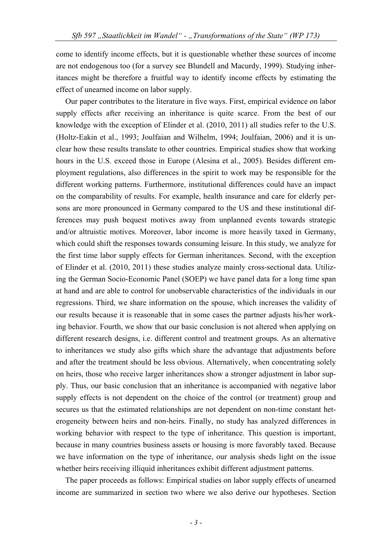come to identify income effects, but it is questionable whether these sources of income are not endogenous too (for a survey see Blundell and Macurdy, 1999). Studying inheritances might be therefore a fruitful way to identify income effects by estimating the effect of unearned income on labor supply.

Our paper contributes to the literature in five ways. First, empirical evidence on labor supply effects after receiving an inheritance is quite scarce. From the best of our knowledge with the exception of Elinder et al. (2010, 2011) all studies refer to the U.S. (Holtz-Eakin et al., 1993; Joulfaian and Wilhelm, 1994; Joulfaian, 2006) and it is unclear how these results translate to other countries. Empirical studies show that working hours in the U.S. exceed those in Europe (Alesina et al., 2005). Besides different employment regulations, also differences in the spirit to work may be responsible for the different working patterns. Furthermore, institutional differences could have an impact on the comparability of results. For example, health insurance and care for elderly persons are more pronounced in Germany compared to the US and these institutional differences may push bequest motives away from unplanned events towards strategic and/or altruistic motives. Moreover, labor income is more heavily taxed in Germany, which could shift the responses towards consuming leisure. In this study, we analyze for the first time labor supply effects for German inheritances. Second, with the exception of Elinder et al. (2010, 2011) these studies analyze mainly cross-sectional data. Utilizing the German Socio-Economic Panel (SOEP) we have panel data for a long time span at hand and are able to control for unobservable characteristics of the individuals in our regressions. Third, we share information on the spouse, which increases the validity of our results because it is reasonable that in some cases the partner adjusts his/her working behavior. Fourth, we show that our basic conclusion is not altered when applying on different research designs, i.e. different control and treatment groups. As an alternative to inheritances we study also gifts which share the advantage that adjustments before and after the treatment should be less obvious. Alternatively, when concentrating solely on heirs, those who receive larger inheritances show a stronger adjustment in labor supply. Thus, our basic conclusion that an inheritance is accompanied with negative labor supply effects is not dependent on the choice of the control (or treatment) group and secures us that the estimated relationships are not dependent on non-time constant heterogeneity between heirs and non-heirs. Finally, no study has analyzed differences in working behavior with respect to the type of inheritance. This question is important, because in many countries business assets or housing is more favorably taxed. Because we have information on the type of inheritance, our analysis sheds light on the issue whether heirs receiving illiquid inheritances exhibit different adjustment patterns.

The paper proceeds as follows: Empirical studies on labor supply effects of unearned income are summarized in section two where we also derive our hypotheses. Section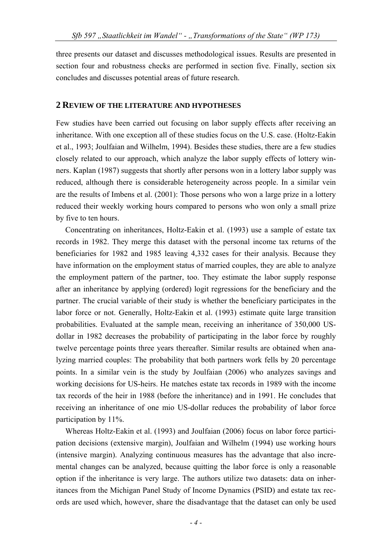three presents our dataset and discusses methodological issues. Results are presented in section four and robustness checks are performed in section five. Finally, section six concludes and discusses potential areas of future research.

#### **2 REVIEW OF THE LITERATURE AND HYPOTHESES**

Few studies have been carried out focusing on labor supply effects after receiving an inheritance. With one exception all of these studies focus on the U.S. case. (Holtz-Eakin et al., 1993; Joulfaian and Wilhelm, 1994). Besides these studies, there are a few studies closely related to our approach, which analyze the labor supply effects of lottery winners. Kaplan (1987) suggests that shortly after persons won in a lottery labor supply was reduced, although there is considerable heterogeneity across people. In a similar vein are the results of Imbens et al. (2001): Those persons who won a large prize in a lottery reduced their weekly working hours compared to persons who won only a small prize by five to ten hours.

Concentrating on inheritances, Holtz-Eakin et al. (1993) use a sample of estate tax records in 1982. They merge this dataset with the personal income tax returns of the beneficiaries for 1982 and 1985 leaving 4,332 cases for their analysis. Because they have information on the employment status of married couples, they are able to analyze the employment pattern of the partner, too. They estimate the labor supply response after an inheritance by applying (ordered) logit regressions for the beneficiary and the partner. The crucial variable of their study is whether the beneficiary participates in the labor force or not. Generally, Holtz-Eakin et al. (1993) estimate quite large transition probabilities. Evaluated at the sample mean, receiving an inheritance of 350,000 USdollar in 1982 decreases the probability of participating in the labor force by roughly twelve percentage points three years thereafter. Similar results are obtained when analyzing married couples: The probability that both partners work fells by 20 percentage points. In a similar vein is the study by Joulfaian (2006) who analyzes savings and working decisions for US-heirs. He matches estate tax records in 1989 with the income tax records of the heir in 1988 (before the inheritance) and in 1991. He concludes that receiving an inheritance of one mio US-dollar reduces the probability of labor force participation by 11%.

Whereas Holtz-Eakin et al. (1993) and Joulfaian (2006) focus on labor force participation decisions (extensive margin), Joulfaian and Wilhelm (1994) use working hours (intensive margin). Analyzing continuous measures has the advantage that also incremental changes can be analyzed, because quitting the labor force is only a reasonable option if the inheritance is very large. The authors utilize two datasets: data on inheritances from the Michigan Panel Study of Income Dynamics (PSID) and estate tax records are used which, however, share the disadvantage that the dataset can only be used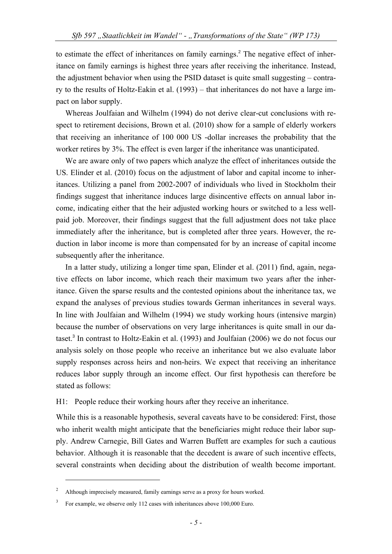to estimate the effect of inheritances on family earnings.<sup>2</sup> The negative effect of inheritance on family earnings is highest three years after receiving the inheritance. Instead, the adjustment behavior when using the PSID dataset is quite small suggesting – contrary to the results of Holtz-Eakin et al. (1993) – that inheritances do not have a large impact on labor supply.

Whereas Joulfaian and Wilhelm (1994) do not derive clear-cut conclusions with respect to retirement decisions, Brown et al. (2010) show for a sample of elderly workers that receiving an inheritance of 100 000 US -dollar increases the probability that the worker retires by 3%. The effect is even larger if the inheritance was unanticipated.

We are aware only of two papers which analyze the effect of inheritances outside the US. Elinder et al. (2010) focus on the adjustment of labor and capital income to inheritances. Utilizing a panel from 2002-2007 of individuals who lived in Stockholm their findings suggest that inheritance induces large disincentive effects on annual labor income, indicating either that the heir adjusted working hours or switched to a less wellpaid job. Moreover, their findings suggest that the full adjustment does not take place immediately after the inheritance, but is completed after three years. However, the reduction in labor income is more than compensated for by an increase of capital income subsequently after the inheritance.

In a latter study, utilizing a longer time span, Elinder et al. (2011) find, again, negative effects on labor income, which reach their maximum two years after the inheritance. Given the sparse results and the contested opinions about the inheritance tax, we expand the analyses of previous studies towards German inheritances in several ways. In line with Joulfaian and Wilhelm (1994) we study working hours (intensive margin) because the number of observations on very large inheritances is quite small in our dataset.<sup>3</sup> In contrast to Holtz-Eakin et al. (1993) and Joulfaian (2006) we do not focus our analysis solely on those people who receive an inheritance but we also evaluate labor supply responses across heirs and non-heirs. We expect that receiving an inheritance reduces labor supply through an income effect. Our first hypothesis can therefore be stated as follows:

H1: People reduce their working hours after they receive an inheritance.

While this is a reasonable hypothesis, several caveats have to be considered: First, those who inherit wealth might anticipate that the beneficiaries might reduce their labor supply. Andrew Carnegie, Bill Gates and Warren Buffett are examples for such a cautious behavior. Although it is reasonable that the decedent is aware of such incentive effects, several constraints when deciding about the distribution of wealth become important.

 $\overline{2}$ Although imprecisely measured, family earnings serve as a proxy for hours worked.

<sup>3</sup> For example, we observe only 112 cases with inheritances above 100,000 Euro.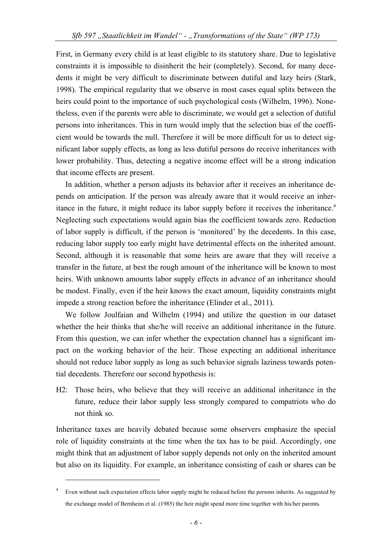First, in Germany every child is at least eligible to its statutory share. Due to legislative constraints it is impossible to disinherit the heir (completely). Second, for many decedents it might be very difficult to discriminate between dutiful and lazy heirs (Stark, 1998). The empirical regularity that we observe in most cases equal splits between the heirs could point to the importance of such psychological costs (Wilhelm, 1996). Nonetheless, even if the parents were able to discriminate, we would get a selection of dutiful persons into inheritances. This in turn would imply that the selection bias of the coefficient would be towards the null. Therefore it will be more difficult for us to detect significant labor supply effects, as long as less dutiful persons do receive inheritances with lower probability. Thus, detecting a negative income effect will be a strong indication that income effects are present.

In addition, whether a person adjusts its behavior after it receives an inheritance depends on anticipation. If the person was already aware that it would receive an inheritance in the future, it might reduce its labor supply before it receives the inheritance.<sup>4</sup> Neglecting such expectations would again bias the coefficient towards zero. Reduction of labor supply is difficult, if the person is 'monitored' by the decedents. In this case, reducing labor supply too early might have detrimental effects on the inherited amount. Second, although it is reasonable that some heirs are aware that they will receive a transfer in the future, at best the rough amount of the inheritance will be known to most heirs. With unknown amounts labor supply effects in advance of an inheritance should be modest. Finally, even if the heir knows the exact amount, liquidity constraints might impede a strong reaction before the inheritance (Elinder et al., 2011).

We follow Joulfaian and Wilhelm (1994) and utilize the question in our dataset whether the heir thinks that she/he will receive an additional inheritance in the future. From this question, we can infer whether the expectation channel has a significant impact on the working behavior of the heir. Those expecting an additional inheritance should not reduce labor supply as long as such behavior signals laziness towards potential decedents. Therefore our second hypothesis is:

H2: Those heirs, who believe that they will receive an additional inheritance in the future, reduce their labor supply less strongly compared to compatriots who do not think so.

Inheritance taxes are heavily debated because some observers emphasize the special role of liquidity constraints at the time when the tax has to be paid. Accordingly, one might think that an adjustment of labor supply depends not only on the inherited amount but also on its liquidity. For example, an inheritance consisting of cash or shares can be

<sup>4</sup> Even without such expectation effects labor supply might be reduced before the persons inherits. As suggested by the exchange model of Bernheim et al. (1985) the heir might spend more time together with his/her parents.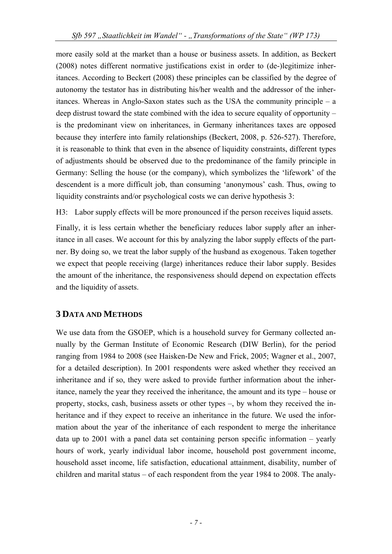more easily sold at the market than a house or business assets. In addition, as Beckert (2008) notes different normative justifications exist in order to (de-)legitimize inheritances. According to Beckert (2008) these principles can be classified by the degree of autonomy the testator has in distributing his/her wealth and the addressor of the inheritances. Whereas in Anglo-Saxon states such as the USA the community principle – a deep distrust toward the state combined with the idea to secure equality of opportunity – is the predominant view on inheritances, in Germany inheritances taxes are opposed because they interfere into family relationships (Beckert, 2008, p. 526-527). Therefore, it is reasonable to think that even in the absence of liquidity constraints, different types of adjustments should be observed due to the predominance of the family principle in Germany: Selling the house (or the company), which symbolizes the 'lifework' of the descendent is a more difficult job, than consuming 'anonymous' cash. Thus, owing to liquidity constraints and/or psychological costs we can derive hypothesis 3:

H3: Labor supply effects will be more pronounced if the person receives liquid assets.

Finally, it is less certain whether the beneficiary reduces labor supply after an inheritance in all cases. We account for this by analyzing the labor supply effects of the partner. By doing so, we treat the labor supply of the husband as exogenous. Taken together we expect that people receiving (large) inheritances reduce their labor supply. Besides the amount of the inheritance, the responsiveness should depend on expectation effects and the liquidity of assets.

## **3 DATA AND METHODS**

We use data from the GSOEP, which is a household survey for Germany collected annually by the German Institute of Economic Research (DIW Berlin), for the period ranging from 1984 to 2008 (see Haisken-De New and Frick, 2005; Wagner et al., 2007, for a detailed description). In 2001 respondents were asked whether they received an inheritance and if so, they were asked to provide further information about the inheritance, namely the year they received the inheritance, the amount and its type – house or property, stocks, cash, business assets or other types –, by whom they received the inheritance and if they expect to receive an inheritance in the future. We used the information about the year of the inheritance of each respondent to merge the inheritance data up to 2001 with a panel data set containing person specific information – yearly hours of work, yearly individual labor income, household post government income, household asset income, life satisfaction, educational attainment, disability, number of children and marital status – of each respondent from the year 1984 to 2008. The analy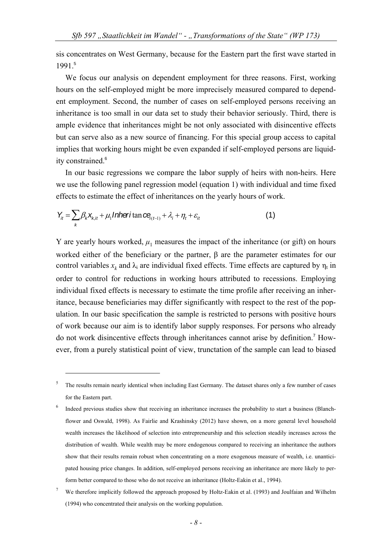sis concentrates on West Germany, because for the Eastern part the first wave started in 1991.<sup>5</sup>

We focus our analysis on dependent employment for three reasons. First, working hours on the self-employed might be more imprecisely measured compared to dependent employment. Second, the number of cases on self-employed persons receiving an inheritance is too small in our data set to study their behavior seriously. Third, there is ample evidence that inheritances might be not only associated with disincentive effects but can serve also as a new source of financing. For this special group access to capital implies that working hours might be even expanded if self-employed persons are liquidity constrained.<sup>6</sup>

In our basic regressions we compare the labor supply of heirs with non-heirs. Here we use the following panel regression model (equation 1) with individual and time fixed effects to estimate the effect of inheritances on the yearly hours of work.

$$
Y_{it} = \sum_{k} \beta_{k} X_{k, it} + \mu_{1} \text{Inheritan } c e_{j(t-1)} + \lambda_{i} + \eta_{t} + \varepsilon_{it}
$$
\n(1)

1

Y are yearly hours worked,  $\mu_1$  measures the impact of the inheritance (or gift) on hours worked either of the beneficiary or the partner, β are the parameter estimates for our control variables  $x_k$  and  $\lambda_i$  are individual fixed effects. Time effects are captured by  $\eta_t$  in order to control for reductions in working hours attributed to recessions. Employing individual fixed effects is necessary to estimate the time profile after receiving an inheritance, because beneficiaries may differ significantly with respect to the rest of the population. In our basic specification the sample is restricted to persons with positive hours of work because our aim is to identify labor supply responses. For persons who already do not work disincentive effects through inheritances cannot arise by definition.<sup>7</sup> However, from a purely statistical point of view, trunctation of the sample can lead to biased

<sup>5</sup> The results remain nearly identical when including East Germany. The dataset shares only a few number of cases for the Eastern part.

<sup>6</sup> Indeed previous studies show that receiving an inheritance increases the probability to start a business (Blanchflower and Oswald, 1998). As Fairlie and Krashinsky (2012) have shown, on a more general level household wealth increases the likelihood of selection into entrepreneurship and this selection steadily increases across the distribution of wealth. While wealth may be more endogenous compared to receiving an inheritance the authors show that their results remain robust when concentrating on a more exogenous measure of wealth, i.e. unanticipated housing price changes. In addition, self-employed persons receiving an inheritance are more likely to perform better compared to those who do not receive an inheritance (Holtz-Eakin et al., 1994).

<sup>7</sup> We therefore implicitly followed the approach proposed by Holtz-Eakin et al. (1993) and Joulfaian and Wilhelm (1994) who concentrated their analysis on the working population.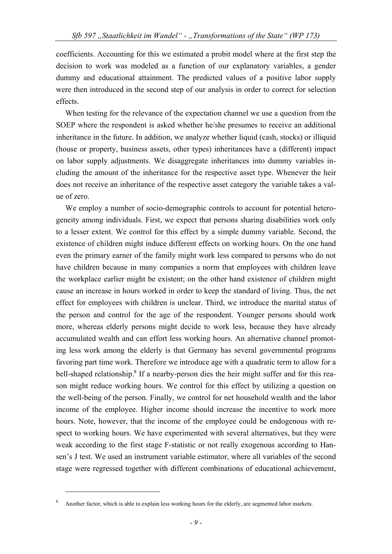coefficients. Accounting for this we estimated a probit model where at the first step the decision to work was modeled as a function of our explanatory variables, a gender dummy and educational attainment. The predicted values of a positive labor supply were then introduced in the second step of our analysis in order to correct for selection effects.

When testing for the relevance of the expectation channel we use a question from the SOEP where the respondent is asked whether he/she presumes to receive an additional inheritance in the future. In addition, we analyze whether liquid (cash, stocks) or illiquid (house or property, business assets, other types) inheritances have a (different) impact on labor supply adjustments. We disaggregate inheritances into dummy variables including the amount of the inheritance for the respective asset type. Whenever the heir does not receive an inheritance of the respective asset category the variable takes a value of zero.

We employ a number of socio-demographic controls to account for potential heterogeneity among individuals. First, we expect that persons sharing disabilities work only to a lesser extent. We control for this effect by a simple dummy variable. Second, the existence of children might induce different effects on working hours. On the one hand even the primary earner of the family might work less compared to persons who do not have children because in many companies a norm that employees with children leave the workplace earlier might be existent; on the other hand existence of children might cause an increase in hours worked in order to keep the standard of living. Thus, the net effect for employees with children is unclear. Third, we introduce the marital status of the person and control for the age of the respondent. Younger persons should work more, whereas elderly persons might decide to work less, because they have already accumulated wealth and can effort less working hours. An alternative channel promoting less work among the elderly is that Germany has several governmental programs favoring part time work. Therefore we introduce age with a quadratic term to allow for a bell-shaped relationship.<sup>8</sup> If a nearby-person dies the heir might suffer and for this reason might reduce working hours. We control for this effect by utilizing a question on the well-being of the person. Finally, we control for net household wealth and the labor income of the employee. Higher income should increase the incentive to work more hours. Note, however, that the income of the employee could be endogenous with respect to working hours. We have experimented with several alternatives, but they were weak according to the first stage F-statistic or not really exogenous according to Hansen's J test. We used an instrument variable estimator, where all variables of the second stage were regressed together with different combinations of educational achievement,

<sup>8</sup> Another factor, which is able to explain less working hours for the elderly, are segmented labor markets.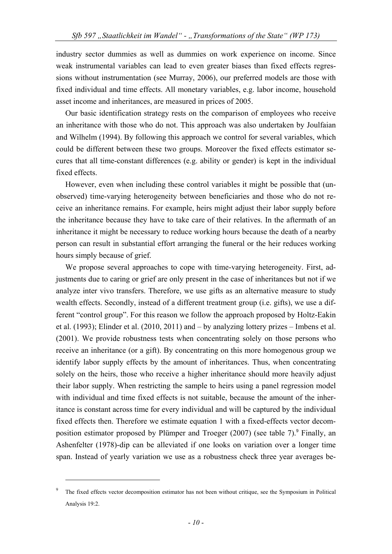industry sector dummies as well as dummies on work experience on income. Since weak instrumental variables can lead to even greater biases than fixed effects regressions without instrumentation (see Murray, 2006), our preferred models are those with fixed individual and time effects. All monetary variables, e.g. labor income, household asset income and inheritances, are measured in prices of 2005.

Our basic identification strategy rests on the comparison of employees who receive an inheritance with those who do not. This approach was also undertaken by Joulfaian and Wilhelm (1994). By following this approach we control for several variables, which could be different between these two groups. Moreover the fixed effects estimator secures that all time-constant differences (e.g. ability or gender) is kept in the individual fixed effects.

However, even when including these control variables it might be possible that (unobserved) time-varying heterogeneity between beneficiaries and those who do not receive an inheritance remains. For example, heirs might adjust their labor supply before the inheritance because they have to take care of their relatives. In the aftermath of an inheritance it might be necessary to reduce working hours because the death of a nearby person can result in substantial effort arranging the funeral or the heir reduces working hours simply because of grief.

We propose several approaches to cope with time-varying heterogeneity. First, adjustments due to caring or grief are only present in the case of inheritances but not if we analyze inter vivo transfers. Therefore, we use gifts as an alternative measure to study wealth effects. Secondly, instead of a different treatment group (i.e. gifts), we use a different "control group". For this reason we follow the approach proposed by Holtz-Eakin et al. (1993); Elinder et al. (2010, 2011) and – by analyzing lottery prizes – Imbens et al. (2001). We provide robustness tests when concentrating solely on those persons who receive an inheritance (or a gift). By concentrating on this more homogenous group we identify labor supply effects by the amount of inheritances. Thus, when concentrating solely on the heirs, those who receive a higher inheritance should more heavily adjust their labor supply. When restricting the sample to heirs using a panel regression model with individual and time fixed effects is not suitable, because the amount of the inheritance is constant across time for every individual and will be captured by the individual fixed effects then. Therefore we estimate equation 1 with a fixed-effects vector decomposition estimator proposed by Plümper and Troeger  $(2007)$  (see table 7).<sup>9</sup> Finally, an Ashenfelter (1978)-dip can be alleviated if one looks on variation over a longer time span. Instead of yearly variation we use as a robustness check three year averages be-

<sup>9</sup> The fixed effects vector decomposition estimator has not been without critique, see the Symposium in Political Analysis 19:2.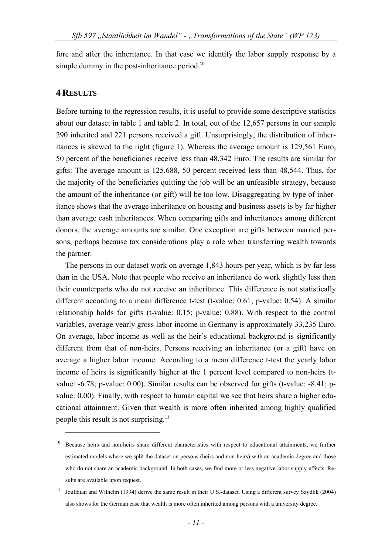fore and after the inheritance. In that case we identify the labor supply response by a simple dummy in the post-inheritance period.<sup>10</sup>

## **4 RESULTS**

1

Before turning to the regression results, it is useful to provide some descriptive statistics about our dataset in table 1 and table 2. In total, out of the 12,657 persons in our sample 290 inherited and 221 persons received a gift. Unsurprisingly, the distribution of inheritances is skewed to the right (figure 1). Whereas the average amount is 129,561 Euro, 50 percent of the beneficiaries receive less than 48,342 Euro. The results are similar for gifts: The average amount is 125,688, 50 percent received less than 48,544. Thus, for the majority of the beneficiaries quitting the job will be an unfeasible strategy, because the amount of the inheritance (or gift) will be too low. Disaggregating by type of inheritance shows that the average inheritance on housing and business assets is by far higher than average cash inheritances. When comparing gifts and inheritances among different donors, the average amounts are similar. One exception are gifts between married persons, perhaps because tax considerations play a role when transferring wealth towards the partner.

The persons in our dataset work on average 1,843 hours per year, which is by far less than in the USA. Note that people who receive an inheritance do work slightly less than their counterparts who do not receive an inheritance. This difference is not statistically different according to a mean difference t-test (t-value: 0.61; p-value: 0.54). A similar relationship holds for gifts (t-value: 0.15; p-value: 0.88). With respect to the control variables, average yearly gross labor income in Germany is approximately 33,235 Euro. On average, labor income as well as the heir's educational background is significantly different from that of non-heirs. Persons receiving an inheritance (or a gift) have on average a higher labor income. According to a mean difference t-test the yearly labor income of heirs is significantly higher at the 1 percent level compared to non-heirs (tvalue: -6.78; p-value: 0.00). Similar results can be observed for gifts (t-value: -8.41; pvalue: 0.00). Finally, with respect to human capital we see that heirs share a higher educational attainment. Given that wealth is more often inherited among highly qualified people this result is not surprising.<sup>11</sup>

<sup>10</sup> Because heirs and non-heirs share different characteristics with respect to educational attainments, we further estimated models where we split the dataset on persons (heirs and non-heirs) with an academic degree and those who do not share an academic background. In both cases, we find more or less negative labor supply effects. Results are available upon request.

<sup>&</sup>lt;sup>11</sup> Joulfaian and Wilhelm (1994) derive the same result in their U.S.-dataset. Using a different survey Szydlik (2004) also shows for the German case that wealth is more often inherited among persons with a university degree.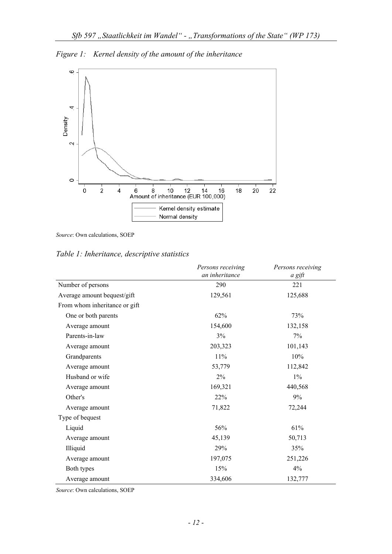*Figure 1: Kernel density of the amount of the inheritance* 



*Source*: Own calculations, SOEP

*Table 1: Inheritance, descriptive statistics* 

|                               | Persons receiving | Persons receiving |
|-------------------------------|-------------------|-------------------|
|                               | an inheritance    | a gift            |
| Number of persons             | 290               | 221               |
| Average amount bequest/gift   | 129,561           | 125,688           |
| From whom inheritance or gift |                   |                   |
| One or both parents           | 62%               | 73%               |
| Average amount                | 154,600           | 132,158           |
| Parents-in-law                | 3%                | 7%                |
| Average amount                | 203,323           | 101,143           |
| Grandparents                  | 11%               | 10%               |
| Average amount                | 53,779            | 112,842           |
| Husband or wife               | 2%                | $1\%$             |
| Average amount                | 169,321           | 440,568           |
| Other's                       | 22%               | $9\%$             |
| Average amount                | 71,822            | 72,244            |
| Type of bequest               |                   |                   |
| Liquid                        | 56%               | 61%               |
| Average amount                | 45,139            | 50,713            |
| Illiquid                      | 29%               | 35%               |
| Average amount                | 197,075           | 251,226           |
| Both types                    | 15%               | 4%                |
| Average amount                | 334,606           | 132,777           |

*Source*: Own calculations, SOEP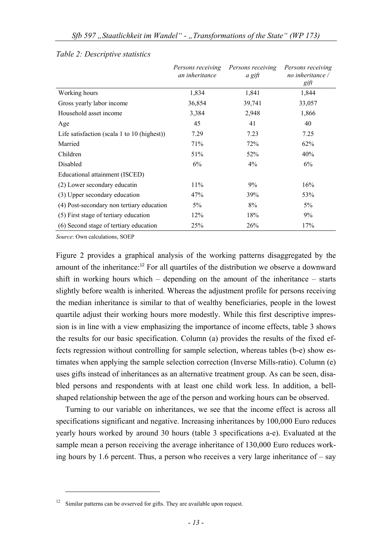|                                             | Persons receiving<br>an inheritance | Persons receiving<br>a gift | Persons receiving<br>no inheritance /<br>gift |
|---------------------------------------------|-------------------------------------|-----------------------------|-----------------------------------------------|
| Working hours                               | 1,834                               | 1,841                       | 1,844                                         |
| Gross yearly labor income                   | 36,854                              | 39,741                      | 33,057                                        |
| Household asset income                      | 3,384                               | 2,948                       | 1,866                                         |
| Age                                         | 45                                  | 41                          | 40                                            |
| Life satisfaction (scala 1 to 10 (highest)) | 7.29                                | 7.23                        | 7.25                                          |
| Married                                     | 71%                                 | 72%                         | 62%                                           |
| Children                                    | 51%                                 | 52%                         | 40%                                           |
| Disabled                                    | 6%                                  | $4\%$                       | 6%                                            |
| Educational attainment (ISCED)              |                                     |                             |                                               |
| (2) Lower secondary educatin                | 11%                                 | 9%                          | 16%                                           |
| (3) Upper secondary education               | 47%                                 | 39%                         | 53%                                           |
| (4) Post-secondary non tertiary education   | $5\%$                               | 8%                          | 5%                                            |
| (5) First stage of tertiary education       | 12%                                 | 18%                         | 9%                                            |
| (6) Second stage of tertiary education      | <b>25%</b>                          | 26%                         | 17%                                           |

#### *Table 2: Descriptive statistics*

*Source*: Own calculations, SOEP

1

Figure 2 provides a graphical analysis of the working patterns disaggregated by the amount of the inheritance:<sup>12</sup> For all quartiles of the distribution we observe a downward shift in working hours which – depending on the amount of the inheritance – starts slightly before wealth is inherited. Whereas the adjustment profile for persons receiving the median inheritance is similar to that of wealthy beneficiaries, people in the lowest quartile adjust their working hours more modestly. While this first descriptive impression is in line with a view emphasizing the importance of income effects, table 3 shows the results for our basic specification. Column (a) provides the results of the fixed effects regression without controlling for sample selection, whereas tables (b-e) show estimates when applying the sample selection correction (Inverse Mills-ratio). Column (e) uses gifts instead of inheritances as an alternative treatment group. As can be seen, disabled persons and respondents with at least one child work less. In addition, a bellshaped relationship between the age of the person and working hours can be observed.

Turning to our variable on inheritances, we see that the income effect is across all specifications significant and negative. Increasing inheritances by 100,000 Euro reduces yearly hours worked by around 30 hours (table 3 specifications a-e). Evaluated at the sample mean a person receiving the average inheritance of 130,000 Euro reduces working hours by 1.6 percent. Thus, a person who receives a very large inheritance of  $-$  say

 $12$  Similar patterns can be ovserved for gifts. They are available upon request.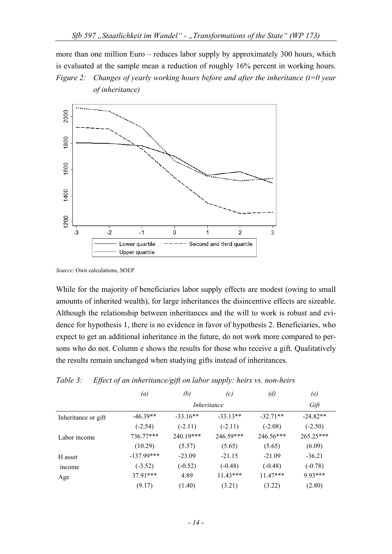more than one million Euro – reduces labor supply by approximately 300 hours, which is evaluated at the sample mean a reduction of roughly 16% percent in working hours. *Figure 2: Changes of yearly working hours before and after the inheritance (t=0 year of inheritance)* 



*Source*: Own calculations, SOEP

While for the majority of beneficiaries labor supply effects are modest (owing to small amounts of inherited wealth), for large inheritances the disincentive effects are sizeable. Although the relationship between inheritances and the will to work is robust and evidence for hypothesis 1, there is no evidence in favor of hypothesis 2. Beneficiaries, who expect to get an additional inheritance in the future, do not work more compared to persons who do not. Column e shows the results for those who receive a gift. Qualitatively the results remain unchanged when studying gifts instead of inheritances.

### *Table 3: Effect of an inheritance/gift on labor supply: heirs vs. non-heirs*

|                     | $\left(a\right)$ | (b)        | (c)         | (d)         | (e)        |
|---------------------|------------------|------------|-------------|-------------|------------|
|                     |                  |            | Inheritance |             | Gift       |
| Inheritance or gift | $-46.39**$       | $-33.16**$ | $-33.13**$  | $-32.71**$  | $-24.82**$ |
|                     | $(-2.54)$        | $(-2.11)$  | $(-2.11)$   | $(-2.08)$   | $(-2.50)$  |
| Labor income        | 736.77***        | 240.19***  | 246.59***   | $246.56***$ | 265.25***  |
|                     | (10.29)          | (5.57)     | (5.65)      | (5.65)      | (6.09)     |
| H asset             | $-137.99***$     | $-23.09$   | $-21.15$    | $-21.09$    | $-36.21$   |
| income              | $(-3.52)$        | $(-0.52)$  | $(-0.48)$   | $(-0.48)$   | $(-0.78)$  |
| Age                 | $37.91***$       | 4.89       | $11.43***$  | $11.47***$  | 9.93***    |
|                     | (9.17)           | (1.40)     | (3.21)      | (3.22)      | (2.80)     |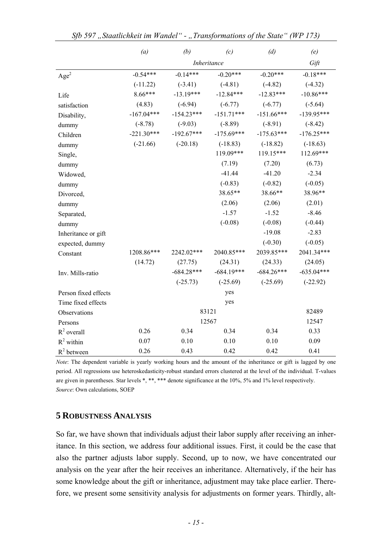|                      | (a)          | (b)          | (c)          | (d)          | (e)          |
|----------------------|--------------|--------------|--------------|--------------|--------------|
|                      |              |              | Inheritance  |              | Gift         |
| Age <sup>2</sup>     | $-0.54***$   | $-0.14***$   | $-0.20***$   | $-0.20***$   | $-0.18***$   |
|                      | $(-11.22)$   | $(-3.41)$    | $(-4.81)$    | $(-4.82)$    | $(-4.32)$    |
| Life                 | $8.66***$    | $-13.19***$  | $-12.84***$  | $-12.83***$  | $-10.86***$  |
| satisfaction         | (4.83)       | $(-6.94)$    | $(-6.77)$    | $(-6.77)$    | $(-5.64)$    |
| Disability,          | $-167.04***$ | $-154.23***$ | $-151.71***$ | $-151.66***$ | $-139.95***$ |
| dummy                | $(-8.78)$    | $(-9.03)$    | $(-8.89)$    | $(-8.91)$    | $(-8.42)$    |
| Children             | $-221.30***$ | $-192.67***$ | $-175.69***$ | $-175.63***$ | $-176.25***$ |
| dummy                | $(-21.66)$   | $(-20.18)$   | $(-18.83)$   | $(-18.82)$   | $(-18.63)$   |
| Single,              |              |              | 119.09***    | 119.15***    | 112.69***    |
| dummy                |              |              | (7.19)       | (7.20)       | (6.73)       |
| Widowed,             |              |              | $-41.44$     | $-41.20$     | $-2.34$      |
| dummy                |              |              | $(-0.83)$    | $(-0.82)$    | $(-0.05)$    |
| Divorced,            |              |              | 38.65**      | 38.66**      | 38.96**      |
| dummy                |              |              | (2.06)       | (2.06)       | (2.01)       |
| Separated,           |              |              | $-1.57$      | $-1.52$      | $-8.46$      |
| dummy                |              |              | $(-0.08)$    | $(-0.08)$    | $(-0.44)$    |
| Inheritance or gift  |              |              |              | $-19.08$     | $-2.83$      |
| expected, dummy      |              |              |              | $(-0.30)$    | $(-0.05)$    |
| Constant             | 1208.86***   | 2242.02***   | 2040.85***   | 2039.85***   | 2041.34***   |
|                      | (14.72)      | (27.75)      | (24.31)      | (24.33)      | (24.05)      |
| Inv. Mills-ratio     |              | $-684.28***$ | $-684.19***$ | $-684.26***$ | $-635.04***$ |
|                      |              | $(-25.73)$   | $(-25.69)$   | $(-25.69)$   | $(-22.92)$   |
| Person fixed effects |              |              | yes          |              |              |
| Time fixed effects   |              |              | yes          |              |              |
| Observations         |              |              | 83121        |              | 82489        |
| Persons              |              |              | 12567        |              | 12547        |
| $R^2$ overall        | 0.26         | 0.34         | 0.34         | 0.34         | 0.33         |
| $R^2$ within         | 0.07         | 0.10         | 0.10         | 0.10         | 0.09         |
| $R^2$ between        | 0.26         | 0.43         | 0.42         | 0.42         | 0.41         |

*Note*: The dependent variable is yearly working hours and the amount of the inheritance or gift is lagged by one period. All regressions use heteroskedasticity-robust standard errors clustered at the level of the individual. T-values are given in parentheses. Star levels \*, \*\*, \*\*\* denote significance at the 10%, 5% and 1% level respectively. *Source*: Own calculations, SOEP

## **5 ROBUSTNESS ANALYSIS**

So far, we have shown that individuals adjust their labor supply after receiving an inheritance. In this section, we address four additional issues. First, it could be the case that also the partner adjusts labor supply. Second, up to now, we have concentrated our analysis on the year after the heir receives an inheritance. Alternatively, if the heir has some knowledge about the gift or inheritance, adjustment may take place earlier. Therefore, we present some sensitivity analysis for adjustments on former years. Thirdly, alt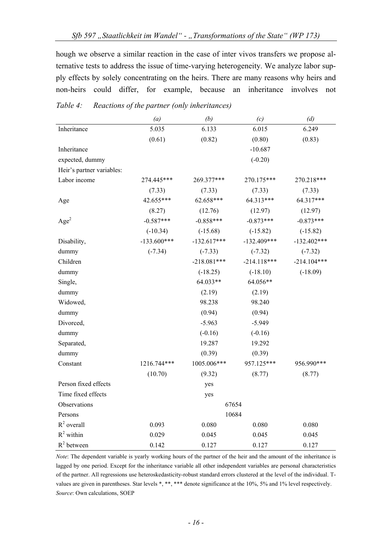hough we observe a similar reaction in the case of inter vivos transfers we propose alternative tests to address the issue of time-varying heterogeneity. We analyze labor supply effects by solely concentrating on the heirs. There are many reasons why heirs and non-heirs could differ, for example, because an inheritance involves not

|                           | (a)           | (b)           | (c)           | (d)           |
|---------------------------|---------------|---------------|---------------|---------------|
| Inheritance               | 5.035         | 6.133         | 6.015         | 6.249         |
|                           | (0.61)        | (0.82)        | (0.80)        | (0.83)        |
| Inheritance               |               |               | $-10.687$     |               |
| expected, dummy           |               |               | $(-0.20)$     |               |
| Heir's partner variables: |               |               |               |               |
| Labor income              | 274.445***    | 269.377***    | 270.175***    | 270.218***    |
|                           | (7.33)        | (7.33)        | (7.33)        | (7.33)        |
| Age                       | 42.655***     | 62.658***     | 64.313***     | 64.317***     |
|                           | (8.27)        | (12.76)       | (12.97)       | (12.97)       |
| Age <sup>2</sup>          | $-0.587***$   | $-0.858***$   | $-0.873***$   | $-0.873***$   |
|                           | $(-10.34)$    | $(-15.68)$    | $(-15.82)$    | $(-15.82)$    |
| Disability,               | $-133.600***$ | $-132.617***$ | $-132.409***$ | $-132.402***$ |
| dummy                     | $(-7.34)$     | $(-7.33)$     | $(-7.32)$     | $(-7.32)$     |
| Children                  |               | $-218.081***$ | $-214.118***$ | $-214.104***$ |
| dummy                     |               | $(-18.25)$    | $(-18.10)$    | $(-18.09)$    |
| Single,                   |               | 64.033**      | 64.056**      |               |
| dummy                     |               | (2.19)        | (2.19)        |               |
| Widowed,                  |               | 98.238        | 98.240        |               |
| dummy                     |               | (0.94)        | (0.94)        |               |
| Divorced,                 |               | $-5.963$      | $-5.949$      |               |
| dummy                     |               | $(-0.16)$     | $(-0.16)$     |               |
| Separated,                |               | 19.287        | 19.292        |               |
| dummy                     |               | (0.39)        | (0.39)        |               |
| Constant                  | 1216.744***   | 1005.006***   | 957.125***    | 956.990***    |
|                           | (10.70)       | (9.32)        | (8.77)        | (8.77)        |
| Person fixed effects      |               | yes           |               |               |
| Time fixed effects        |               | yes           |               |               |
| Observations              |               | 67654         |               |               |
| Persons                   |               | 10684         |               |               |
| $R^2$ overall             | 0.093         | 0.080         | 0.080         | 0.080         |
| $R^2$ within              | 0.029         | 0.045         | 0.045         | 0.045         |
| $R^2$ between             | 0.142         | 0.127         | 0.127         | 0.127         |

*Table 4: Reactions of the partner (only inheritances)* 

*Note*: The dependent variable is yearly working hours of the partner of the heir and the amount of the inheritance is lagged by one period. Except for the inheritance variable all other independent variables are personal characteristics of the partner. All regressions use heteroskedasticity-robust standard errors clustered at the level of the individual. Tvalues are given in parentheses. Star levels \*, \*\*, \*\*\* denote significance at the 10%, 5% and 1% level respectively. *Source*: Own calculations, SOEP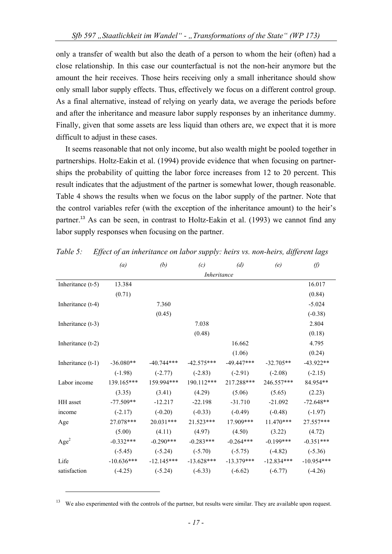only a transfer of wealth but also the death of a person to whom the heir (often) had a close relationship. In this case our counterfactual is not the non-heir anymore but the amount the heir receives. Those heirs receiving only a small inheritance should show only small labor supply effects. Thus, effectively we focus on a different control group. As a final alternative, instead of relying on yearly data, we average the periods before and after the inheritance and measure labor supply responses by an inheritance dummy. Finally, given that some assets are less liquid than others are, we expect that it is more difficult to adjust in these cases.

It seems reasonable that not only income, but also wealth might be pooled together in partnerships. Holtz-Eakin et al. (1994) provide evidence that when focusing on partnerships the probability of quitting the labor force increases from 12 to 20 percent. This result indicates that the adjustment of the partner is somewhat lower, though reasonable. Table 4 shows the results when we focus on the labor supply of the partner. Note that the control variables refer (with the exception of the inheritance amount) to the heir's partner.<sup>13</sup> As can be seen, in contrast to Holtz-Eakin et al. (1993) we cannot find any labor supply responses when focusing on the partner.

|                     | $\left(a\right)$ | (b)          | (c)          | (d)          | (e)          | $\theta$     |  |  |
|---------------------|------------------|--------------|--------------|--------------|--------------|--------------|--|--|
|                     |                  | Inheritance  |              |              |              |              |  |  |
| Inheritance $(t-5)$ | 13.384           |              |              |              |              | 16.017       |  |  |
|                     | (0.71)           |              |              |              |              | (0.84)       |  |  |
| Inheritance (t-4)   |                  | 7.360        |              |              |              | $-5.024$     |  |  |
|                     |                  | (0.45)       |              |              |              | $(-0.38)$    |  |  |
| Inheritance (t-3)   |                  |              | 7.038        |              |              | 2.804        |  |  |
|                     |                  |              | (0.48)       |              |              | (0.18)       |  |  |
| Inheritance $(t-2)$ |                  |              |              | 16.662       |              | 4.795        |  |  |
|                     |                  |              |              | (1.06)       |              | (0.24)       |  |  |
| Inheritance $(t-1)$ | $-36.080**$      | $-40.744***$ | $-42.575***$ | $-49.447***$ | $-32.705**$  | $-43.922**$  |  |  |
|                     | $(-1.98)$        | $(-2.77)$    | $(-2.83)$    | $(-2.91)$    | $(-2.08)$    | $(-2.15)$    |  |  |
| Labor income        | 139.165***       | 159.994***   | 190.112***   | 217.288***   | 246.557***   | 84.954**     |  |  |
|                     | (3.35)           | (3.41)       | (4.29)       | (5.06)       | (5.65)       | (2.23)       |  |  |
| HH asset            | $-77.509**$      | $-12.217$    | $-22.198$    | $-31.710$    | $-21.092$    | $-72.648**$  |  |  |
| income              | $(-2.17)$        | $(-0.20)$    | $(-0.33)$    | $(-0.49)$    | $(-0.48)$    | $(-1.97)$    |  |  |
| Age                 | 27.078***        | 20.031***    | 21.523***    | 17.909***    | $11.470***$  | 27.557***    |  |  |
|                     | (5.00)           | (4.11)       | (4.97)       | (4.50)       | (3.22)       | (4.72)       |  |  |
| Age <sup>2</sup>    | $-0.332***$      | $-0.290***$  | $-0.283***$  | $-0.264***$  | $-0.199***$  | $-0.351***$  |  |  |
|                     | $(-5.45)$        | $(-5.24)$    | $(-5.70)$    | $(-5.75)$    | $(-4.82)$    | $(-5.36)$    |  |  |
| Life                | $-10.636***$     | $-12.145***$ | $-13.628***$ | $-13.379***$ | $-12.834***$ | $-10.954***$ |  |  |
| satisfaction        | $(-4.25)$        | $(-5.24)$    | $(-6.33)$    | $(-6.62)$    | $(-6.77)$    | $(-4.26)$    |  |  |

*Table 5: Effect of an inheritance on labor supply: heirs vs. non-heirs, different lags* 

We also experimented with the controls of the partner, but results were similar. They are available upon request.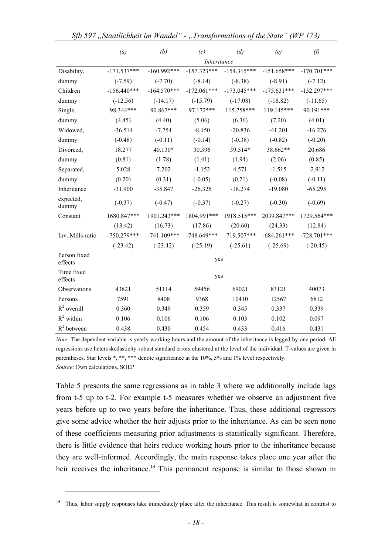|                         | (a)           | (b)           | (c)           | (d)           | (e)           | $\theta$      |  |
|-------------------------|---------------|---------------|---------------|---------------|---------------|---------------|--|
|                         |               | Inheritance   |               |               |               |               |  |
| Disability,             | $-171.537***$ | $-160.992***$ | $-157.323***$ | $-154.315***$ | $-151.658***$ | $-170.701***$ |  |
| dummy                   | $(-7.59)$     | $(-7.70)$     | $(-8.14)$     | $(-8.38)$     | $(-8.91)$     | $(-7.12)$     |  |
| Children                | $-156.440***$ | $-164.570***$ | $-172.061***$ | $-173.045***$ | $-175.631***$ | $-152.297***$ |  |
| dummy                   | $(-12.56)$    | $(-14.17)$    | $(-15.79)$    | $(-17.08)$    | $(-18.82)$    | $(-11.65)$    |  |
| Single,                 | 98.344***     | 90.867***     | 97.172***     | 115.758***    | 119.145***    | 90.191***     |  |
| dummy                   | (4.45)        | (4.40)        | (5.06)        | (6.36)        | (7.20)        | (4.01)        |  |
| Widowed,                | $-36.514$     | $-7.754$      | $-8.150$      | $-20.836$     | $-41.201$     | $-16.276$     |  |
| dummy                   | $(-0.48)$     | $(-0.11)$     | $(-0.14)$     | $(-0.38)$     | $(-0.82)$     | $(-0.20)$     |  |
| Divorced,               | 18.277        | 40.130*       | 30.396        | 39.514*       | 38.662**      | 20.686        |  |
| dummy                   | (0.81)        | (1.78)        | (1.41)        | (1.94)        | (2.06)        | (0.85)        |  |
| Separated,              | 5.028         | 7.202         | $-1.152$      | 4.571         | $-1.515$      | $-2.912$      |  |
| dummy                   | (0.20)        | (0.31)        | $(-0.05)$     | (0.21)        | $(-0.08)$     | $(-0.11)$     |  |
| Inheritance             | $-31.900$     | $-35.847$     | $-26.326$     | $-18.274$     | $-19.080$     | $-65.295$     |  |
| expected,<br>dummy      | $(-0.37)$     | $(-0.47)$     | $(-0.37)$     | $(-0.27)$     | $(-0.30)$     | $(-0.69)$     |  |
| Constant                | 1680.847***   | 1901.243***   | 1804.991***   | 1918.515***   | 2039.847***   | 1729.564***   |  |
|                         | (13.42)       | (16.73)       | (17.86)       | (20.60)       | (24.33)       | (12.84)       |  |
| Inv. Mills-ratio        | $-750.279***$ | $-741.109***$ | $-748.649***$ | $-719.507***$ | $-684.261***$ | $-728.701***$ |  |
|                         | $(-23.42)$    | $(-23.42)$    | $(-25.19)$    | $(-25.61)$    | $(-25.69)$    | $(-20.45)$    |  |
| Person fixed<br>effects |               |               | yes           |               |               |               |  |
| Time fixed<br>effects   |               |               | yes           |               |               |               |  |
| Observations            | 43821         | 51114         | 59456         | 69021         | 83121         | 40073         |  |
| Persons                 | 7591          | 8408          | 9368          | 10410         | 12567         | 6812          |  |
| $R^2$ overall           | 0.360         | 0.349         | 0.359         | 0.345         | 0.337         | 0.339         |  |
| $R^2$ within            | 0.106         | 0.106         | 0.106         | 0.103         | 0.102         | 0.097         |  |
| $R^2$ between           | 0.438         | 0.430         | 0.454         | 0.433         | 0.416         | 0.431         |  |

*Sfb 597* "*Staatlichkeit im Wandel" - "Transformations of the State" (WP 173)* 

*Note*: The dependent variable is yearly working hours and the amount of the inheritance is lagged by one period. All regressions use heteroskedasticity-robust standard errors clustered at the level of the individual. T-values are given in parentheses. Star levels \*, \*\*, \*\*\* denote significance at the 10%, 5% and 1% level respectively. *Source*: Own calculations, SOEP

Table 5 presents the same regressions as in table 3 where we additionally include lags from t-5 up to t-2. For example t-5 measures whether we observe an adjustment five years before up to two years before the inheritance. Thus, these additional regressors give some advice whether the heir adjusts prior to the inheritance. As can be seen none of these coefficients measuring prior adjustments is statistically significant. Therefore, there is little evidence that heirs reduce working hours prior to the inheritance because they are well-informed. Accordingly, the main response takes place one year after the heir receives the inheritance.<sup>14</sup> This permanent response is similar to those shown in

<sup>&</sup>lt;sup>14</sup> Thus, labor supply responses take immediately place after the inheritance. This result is somewhat in contrast to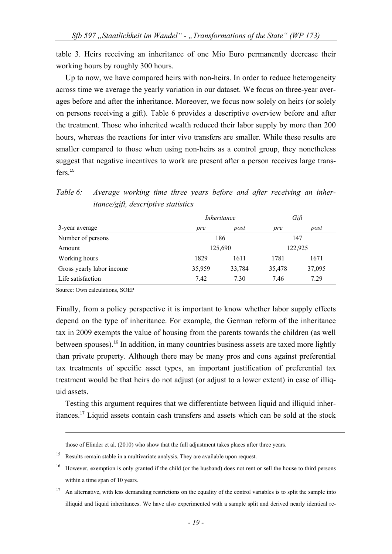table 3. Heirs receiving an inheritance of one Mio Euro permanently decrease their working hours by roughly 300 hours.

Up to now, we have compared heirs with non-heirs. In order to reduce heterogeneity across time we average the yearly variation in our dataset. We focus on three-year averages before and after the inheritance. Moreover, we focus now solely on heirs (or solely on persons receiving a gift). Table 6 provides a descriptive overview before and after the treatment. Those who inherited wealth reduced their labor supply by more than 200 hours, whereas the reactions for inter vivo transfers are smaller. While these results are smaller compared to those when using non-heirs as a control group, they nonetheless suggest that negative incentives to work are present after a person receives large transfers<sup>15</sup>

*Table 6: Average working time three years before and after receiving an inheritance/gift, descriptive statistics* 

|                           | <i>Inheritance</i> |        | Gift    |        |
|---------------------------|--------------------|--------|---------|--------|
| 3-year average            | pre                | post   | pre     | post   |
| Number of persons         | 186                |        | 147     |        |
| Amount                    | 125,690            |        | 122,925 |        |
| Working hours             | 1829               | 1611   | 1781    | 1671   |
| Gross yearly labor income | 35,959             | 33,784 | 35,478  | 37,095 |
| Life satisfaction         | 7.42               | 7.30   | 7.46    | 7.29   |

Source: Own calculations, SOEP

1

Finally, from a policy perspective it is important to know whether labor supply effects depend on the type of inheritance. For example, the German reform of the inheritance tax in 2009 exempts the value of housing from the parents towards the children (as well between spouses).<sup>16</sup> In addition, in many countries business assets are taxed more lightly than private property. Although there may be many pros and cons against preferential tax treatments of specific asset types, an important justification of preferential tax treatment would be that heirs do not adjust (or adjust to a lower extent) in case of illiquid assets.

Testing this argument requires that we differentiate between liquid and illiquid inheritances.<sup>17</sup> Liquid assets contain cash transfers and assets which can be sold at the stock

those of Elinder et al. (2010) who show that the full adjustment takes places after three years.

Results remain stable in a multivariate analysis. They are available upon request.

<sup>&</sup>lt;sup>16</sup> However, exemption is only granted if the child (or the husband) does not rent or sell the house to third persons within a time span of 10 years.

 $17$  An alternative, with less demanding restrictions on the equality of the control variables is to split the sample into illiquid and liquid inheritances. We have also experimented with a sample split and derived nearly identical re-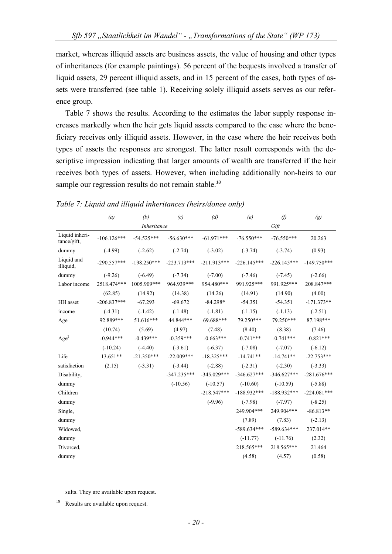market, whereas illiquid assets are business assets, the value of housing and other types of inheritances (for example paintings). 56 percent of the bequests involved a transfer of liquid assets, 29 percent illiquid assets, and in 15 percent of the cases, both types of assets were transferred (see table 1). Receiving solely illiquid assets serves as our reference group.

Table 7 shows the results. According to the estimates the labor supply response increases markedly when the heir gets liquid assets compared to the case where the beneficiary receives only illiquid assets. However, in the case where the heir receives both types of assets the responses are strongest. The latter result corresponds with the descriptive impression indicating that larger amounts of wealth are transferred if the heir receives both types of assets. However, when including additionally non-heirs to our sample our regression results do not remain stable.<sup>18</sup>

|                               | (a)           | (b)           | (c)           | (d)           | (e)           | $\varnothing$ | (g)           |
|-------------------------------|---------------|---------------|---------------|---------------|---------------|---------------|---------------|
|                               |               | Inheritance   |               |               |               | Gift          |               |
| Liquid inheri-<br>tance/gift, | $-106.126***$ | $-54.525***$  | $-56.630***$  | $-61.971***$  | $-76.550***$  | $-76.550***$  | 20.263        |
| dummy                         | $(-4.99)$     | $(-2.62)$     | $(-2.74)$     | $(-3.02)$     | $(-3.74)$     | $(-3.74)$     | (0.93)        |
| Liquid and<br>illiquid,       | $-290.557***$ | $-198.250***$ | $-223.713***$ | $-211.913***$ | $-226.145***$ | $-226.145***$ | $-149.750***$ |
| dummy                         | $(-9.26)$     | $(-6.49)$     | $(-7.34)$     | $(-7.00)$     | $(-7.46)$     | $(-7.45)$     | $(-2.66)$     |
| Labor income                  | 2518.474***   | 1005.909***   | 964.939***    | 954.480***    | 991.925***    | 991.925***    | 208.847***    |
|                               | (62.85)       | (14.92)       | (14.38)       | (14.26)       | (14.91)       | (14.90)       | (4.00)        |
| HH asset                      | $-206.837***$ | $-67.293$     | $-69.672$     | $-84.298*$    | $-54.351$     | $-54.351$     | $-171.373**$  |
| income                        | $(-4.31)$     | $(-1.42)$     | $(-1.48)$     | $(-1.81)$     | $(-1.15)$     | $(-1.13)$     | $(-2.51)$     |
| Age                           | 92.889***     | 51.616***     | 44.844***     | 69.688***     | 79.250***     | 79.250***     | 87.198***     |
|                               | (10.74)       | (5.69)        | (4.97)        | (7.48)        | (8.40)        | (8.38)        | (7.46)        |
| Age <sup>2</sup>              | $-0.944***$   | $-0.439***$   | $-0.359***$   | $-0.663***$   | $-0.741***$   | $-0.741***$   | $-0.821***$   |
|                               | $(-10.24)$    | $(-4.40)$     | $(-3.61)$     | $(-6.37)$     | $(-7.08)$     | $(-7.07)$     | $(-6.12)$     |
| Life                          | $13.651**$    | $-21.350***$  | $-22.009***$  | $-18.325***$  | $-14.741**$   | $-14.741**$   | $-22.753***$  |
| satisfaction                  | (2.15)        | $(-3.31)$     | $(-3.44)$     | $(-2.88)$     | $(-2.31)$     | $(-2.30)$     | $(-3.33)$     |
| Disability,                   |               |               | $-347.235***$ | $-345.029***$ | $-346.627***$ | $-346.627***$ | $-281.676***$ |
| dummy                         |               |               | $(-10.56)$    | $(-10.57)$    | $(-10.60)$    | $(-10.59)$    | $(-5.88)$     |
| Children                      |               |               |               | $-218.547***$ | $-188.932***$ | $-188.932***$ | $-224.081***$ |
| dummy                         |               |               |               | $(-9.96)$     | $(-7.98)$     | $(-7.97)$     | $(-8.25)$     |
| Single,                       |               |               |               |               | 249.904***    | 249.904***    | $-86.813**$   |
| dummy                         |               |               |               |               | (7.89)        | (7.83)        | $(-2.13)$     |
| Widowed,                      |               |               |               |               | $-589.634***$ | $-589.634***$ | 237.014**     |
| dummy                         |               |               |               |               | $(-11.77)$    | $(-11.76)$    | (2.32)        |
| Divorced,                     |               |               |               |               | 218.565***    | 218.565***    | 21.464        |
| dummy                         |               |               |               |               | (4.58)        | (4.57)        | (0.58)        |
|                               |               |               |               |               |               |               |               |

#### *Table 7: Liquid and illiquid inheritances (heirs/donee only)*

sults. They are available upon request.

<sup>18</sup> Results are available upon request.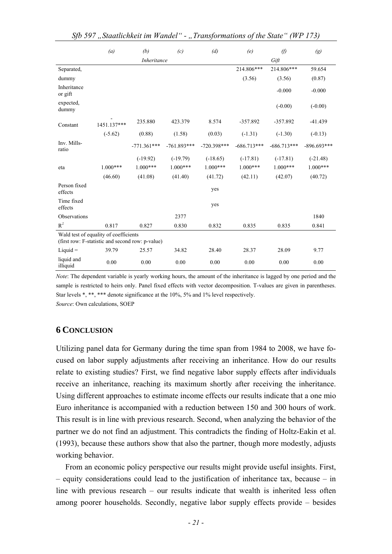|                         | (a)                                                                                       | (b)           | (c)           | (d)           | (e)           | $\varnothing$ | $\left(g\right)$ |  |
|-------------------------|-------------------------------------------------------------------------------------------|---------------|---------------|---------------|---------------|---------------|------------------|--|
|                         |                                                                                           | Inheritance   |               |               | Gift          |               |                  |  |
| Separated,              |                                                                                           |               |               |               | 214.806***    | 214.806***    | 59.654           |  |
| dummy                   |                                                                                           |               |               |               | (3.56)        | (3.56)        | (0.87)           |  |
| Inheritance<br>or gift  |                                                                                           |               |               |               |               | $-0.000$      | $-0.000$         |  |
| expected,<br>dummy      |                                                                                           |               |               |               |               | $(-0.00)$     | $(-0.00)$        |  |
| Constant                | 1451.137***                                                                               | 235.880       | 423.379       | 8.574         | $-357.892$    | $-357.892$    | $-41.439$        |  |
|                         | $(-5.62)$                                                                                 | (0.88)        | (1.58)        | (0.03)        | $(-1.31)$     | $(-1.30)$     | $(-0.13)$        |  |
| Inv. Mills-<br>ratio    |                                                                                           | $-771.361***$ | $-761.893***$ | $-720.398***$ | $-686.713***$ | $-686.713***$ | $-896.693***$    |  |
|                         |                                                                                           | $(-19.92)$    | $(-19.79)$    | $(-18.65)$    | $(-17.81)$    | $(-17.81)$    | $(-21.48)$       |  |
| eta                     | $1.000***$                                                                                | $1.000***$    | $1.000***$    | $1.000***$    | $1.000***$    | $1.000***$    | $1.000***$       |  |
|                         | (46.60)                                                                                   | (41.08)       | (41.40)       | (41.72)       | (42.11)       | (42.07)       | (40.72)          |  |
| Person fixed<br>effects |                                                                                           |               |               | yes           |               |               |                  |  |
| Time fixed<br>effects   |                                                                                           |               |               | yes           |               |               |                  |  |
| Observations            |                                                                                           |               | 2377          |               |               |               | 1840             |  |
| $R^2$                   | 0.817                                                                                     | 0.827         | 0.830         | 0.832         | 0.835         | 0.835         | 0.841            |  |
|                         | Wald test of equality of coefficients<br>(first row: F-statistic and second row: p-value) |               |               |               |               |               |                  |  |
| $Liquid =$              | 39.79                                                                                     | 25.57         | 34.82         | 28.40         | 28.37         | 28.09         | 9.77             |  |
| liquid and<br>illiquid  | 0.00                                                                                      | 0.00          | 0.00          | 0.00          | 0.00          | 0.00          | 0.00             |  |

*Note*: The dependent variable is yearly working hours, the amount of the inheritance is lagged by one period and the sample is restricted to heirs only. Panel fixed effects with vector decomposition. T-values are given in parentheses. Star levels \*, \*\*, \*\*\* denote significance at the 10%, 5% and 1% level respectively. *Source*: Own calculations, SOEP

## **6 CONCLUSION**

Utilizing panel data for Germany during the time span from 1984 to 2008, we have focused on labor supply adjustments after receiving an inheritance. How do our results relate to existing studies? First, we find negative labor supply effects after individuals receive an inheritance, reaching its maximum shortly after receiving the inheritance. Using different approaches to estimate income effects our results indicate that a one mio Euro inheritance is accompanied with a reduction between 150 and 300 hours of work. This result is in line with previous research. Second, when analyzing the behavior of the partner we do not find an adjustment. This contradicts the finding of Holtz-Eakin et al. (1993), because these authors show that also the partner, though more modestly, adjusts working behavior.

From an economic policy perspective our results might provide useful insights. First, – equity considerations could lead to the justification of inheritance tax, because – in line with previous research – our results indicate that wealth is inherited less often among poorer households. Secondly, negative labor supply effects provide – besides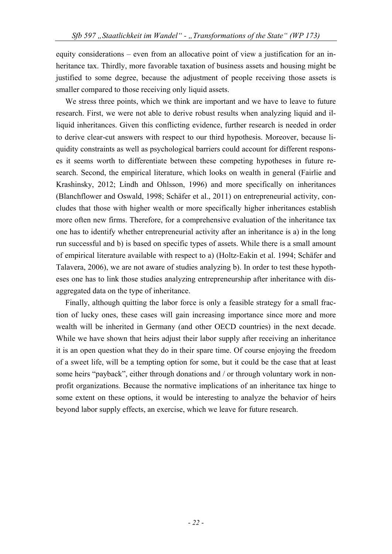equity considerations – even from an allocative point of view a justification for an inheritance tax. Thirdly, more favorable taxation of business assets and housing might be justified to some degree, because the adjustment of people receiving those assets is smaller compared to those receiving only liquid assets.

We stress three points, which we think are important and we have to leave to future research. First, we were not able to derive robust results when analyzing liquid and illiquid inheritances. Given this conflicting evidence, further research is needed in order to derive clear-cut answers with respect to our third hypothesis. Moreover, because liquidity constraints as well as psychological barriers could account for different responses it seems worth to differentiate between these competing hypotheses in future research. Second, the empirical literature, which looks on wealth in general (Fairlie and Krashinsky, 2012; Lindh and Ohlsson, 1996) and more specifically on inheritances (Blanchflower and Oswald, 1998; Schäfer et al., 2011) on entrepreneurial activity, concludes that those with higher wealth or more specifically higher inheritances establish more often new firms. Therefore, for a comprehensive evaluation of the inheritance tax one has to identify whether entrepreneurial activity after an inheritance is a) in the long run successful and b) is based on specific types of assets. While there is a small amount of empirical literature available with respect to a) (Holtz-Eakin et al. 1994; Schäfer and Talavera, 2006), we are not aware of studies analyzing b). In order to test these hypotheses one has to link those studies analyzing entrepreneurship after inheritance with disaggregated data on the type of inheritance.

Finally, although quitting the labor force is only a feasible strategy for a small fraction of lucky ones, these cases will gain increasing importance since more and more wealth will be inherited in Germany (and other OECD countries) in the next decade. While we have shown that heirs adjust their labor supply after receiving an inheritance it is an open question what they do in their spare time. Of course enjoying the freedom of a sweet life, will be a tempting option for some, but it could be the case that at least some heirs "payback", either through donations and / or through voluntary work in nonprofit organizations. Because the normative implications of an inheritance tax hinge to some extent on these options, it would be interesting to analyze the behavior of heirs beyond labor supply effects, an exercise, which we leave for future research.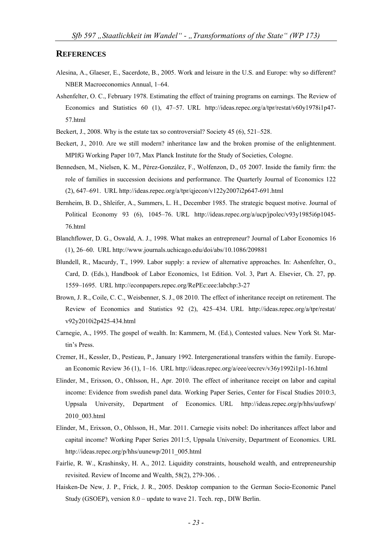#### **REFERENCES**

- Alesina, A., Glaeser, E., Sacerdote, B., 2005. Work and leisure in the U.S. and Europe: why so different? NBER Macroeconomics Annual, 1–64.
- Ashenfelter, O. C., February 1978. Estimating the effect of training programs on earnings. The Review of Economics and Statistics 60 (1), 47–57. URL http://ideas.repec.org/a/tpr/restat/v60y1978i1p47- 57.html
- Beckert, J., 2008. Why is the estate tax so controversial? Society 45 (6), 521–528.
- Beckert, J., 2010. Are we still modern? inheritance law and the broken promise of the enlightenment. MPIfG Working Paper 10/7, Max Planck Institute for the Study of Societies, Cologne.
- Bennedsen, M., Nielsen, K. M., Pérez-González, F., Wolfenzon, D., 05 2007. Inside the family firm: the role of families in succession decisions and performance. The Quarterly Journal of Economics 122 (2), 647–691. URL http://ideas.repec.org/a/tpr/qjecon/v122y2007i2p647-691.html
- Bernheim, B. D., Shleifer, A., Summers, L. H., December 1985. The strategic bequest motive. Journal of Political Economy 93 (6), 1045–76. URL http://ideas.repec.org/a/ucp/jpolec/v93y1985i6p1045-76.html
- Blanchflower, D. G., Oswald, A. J., 1998. What makes an entrepreneur? Journal of Labor Economics 16 (1), 26–60. URL http://www.journals.uchicago.edu/doi/abs/10.1086/209881
- Blundell, R., Macurdy, T., 1999. Labor supply: a review of alternative approaches. In: Ashenfelter, O., Card, D. (Eds.), Handbook of Labor Economics, 1st Edition. Vol. 3, Part A. Elsevier, Ch. 27, pp. 1559–1695. URL http://econpapers.repec.org/RePEc:eee:labchp:3-27
- Brown, J. R., Coile, C. C., Weisbenner, S. J., 08 2010. The effect of inheritance receipt on retirement. The Review of Economics and Statistics 92 (2), 425–434. URL http://ideas.repec.org/a/tpr/restat/ v92y2010i2p425-434.html
- Carnegie, A., 1995. The gospel of wealth. In: Kammern, M. (Ed.), Contested values. New York St. Martin's Press.
- Cremer, H., Kessler, D., Pestieau, P., January 1992. Intergenerational transfers within the family. European Economic Review 36 (1), 1–16. URL http://ideas.repec.org/a/eee/eecrev/v36y1992i1p1-16.html
- Elinder, M., Erixson, O., Ohlsson, H., Apr. 2010. The effect of inheritance receipt on labor and capital income: Evidence from swedish panel data. Working Paper Series, Center for Fiscal Studies 2010:3, Uppsala University, Department of Economics. URL http://ideas.repec.org/p/hhs/uufswp/ 2010\_003.html
- Elinder, M., Erixson, O., Ohlsson, H., Mar. 2011. Carnegie visits nobel: Do inheritances affect labor and capital income? Working Paper Series 2011:5, Uppsala University, Department of Economics. URL http://ideas.repec.org/p/hhs/uunewp/2011\_005.html
- Fairlie, R. W., Krashinsky, H. A., 2012. Liquidity constraints, household wealth, and entrepreneurship revisited. Review of Income and Wealth, 58(2), 279-306. .
- Haisken-De New, J. P., Frick, J. R., 2005. Desktop companion to the German Socio-Economic Panel Study (GSOEP), version 8.0 – update to wave 21. Tech. rep., DIW Berlin.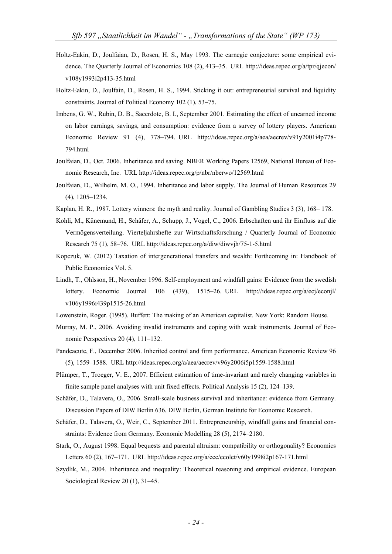- Holtz-Eakin, D., Joulfaian, D., Rosen, H. S., May 1993. The carnegie conjecture: some empirical evidence. The Quarterly Journal of Economics 108 (2), 413–35. URL http://ideas.repec.org/a/tpr/qjecon/ v108y1993i2p413-35.html
- Holtz-Eakin, D., Joulfain, D., Rosen, H. S., 1994. Sticking it out: entrepreneurial survival and liquidity constraints. Journal of Political Economy 102 (1), 53–75.
- Imbens, G. W., Rubin, D. B., Sacerdote, B. I., September 2001. Estimating the effect of unearned income on labor earnings, savings, and consumption: evidence from a survey of lottery players. American Economic Review 91 (4), 778–794. URL http://ideas.repec.org/a/aea/aecrev/v91y2001i4p778- 794.html
- Joulfaian, D., Oct. 2006. Inheritance and saving. NBER Working Papers 12569, National Bureau of Economic Research, Inc. URL http://ideas.repec.org/p/nbr/nberwo/12569.html
- Joulfaian, D., Wilhelm, M. O., 1994. Inheritance and labor supply. The Journal of Human Resources 29 (4), 1205–1234.
- Kaplan, H. R., 1987. Lottery winners: the myth and reality. Journal of Gambling Studies 3 (3), 168– 178.
- Kohli, M., Künemund, H., Schäfer, A., Schupp, J., Vogel, C., 2006. Erbschaften und ihr Einfluss auf die Vermögensverteilung. Vierteljahrshefte zur Wirtschaftsforschung / Quarterly Journal of Economic Research 75 (1), 58–76. URL http://ideas.repec.org/a/diw/diwvjh/75-1-5.html
- Kopczuk, W. (2012) Taxation of intergenerational transfers and wealth: Forthcoming in: Handbook of Public Economics Vol. 5.
- Lindh, T., Ohlsson, H., November 1996. Self-employment and windfall gains: Evidence from the swedish lottery. Economic Journal 106 (439), 1515–26. URL http://ideas.repec.org/a/ecj/econjl/ v106y1996i439p1515-26.html
- Lowenstein, Roger. (1995). Buffett: The making of an American capitalist. New York: Random House.
- Murray, M. P., 2006. Avoiding invalid instruments and coping with weak instruments. Journal of Economic Perspectives 20 (4), 111–132.
- Pandeacute, F., December 2006. Inherited control and firm performance. American Economic Review 96 (5), 1559–1588. URL http://ideas.repec.org/a/aea/aecrev/v96y2006i5p1559-1588.html
- Plümper, T., Troeger, V. E., 2007. Efficient estimation of time-invariant and rarely changing variables in finite sample panel analyses with unit fixed effects. Political Analysis 15 (2), 124–139.
- Schäfer, D., Talavera, O., 2006. Small-scale business survival and inheritance: evidence from Germany. Discussion Papers of DIW Berlin 636, DIW Berlin, German Institute for Economic Research.
- Schäfer, D., Talavera, O., Weir, C., September 2011. Entrepreneurship, windfall gains and financial constraints: Evidence from Germany. Economic Modelling 28 (5), 2174–2180.
- Stark, O., August 1998. Equal bequests and parental altruism: compatibility or orthogonality? Economics Letters 60 (2), 167–171. URL http://ideas.repec.org/a/eee/ecolet/v60y1998i2p167-171.html
- Szydlik, M., 2004. Inheritance and inequality: Theoretical reasoning and empirical evidence. European Sociological Review 20 (1), 31–45.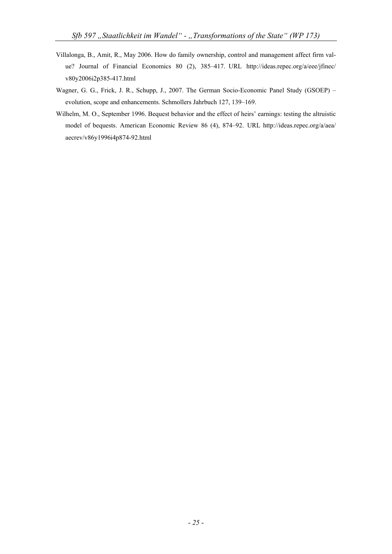- Villalonga, B., Amit, R., May 2006. How do family ownership, control and management affect firm value? Journal of Financial Economics 80 (2), 385–417. URL http://ideas.repec.org/a/eee/jfinec/ v80y2006i2p385-417.html
- Wagner, G. G., Frick, J. R., Schupp, J., 2007. The German Socio-Economic Panel Study (GSOEP) evolution, scope and enhancements. Schmollers Jahrbuch 127, 139–169.
- Wilhelm, M. O., September 1996. Bequest behavior and the effect of heirs' earnings: testing the altruistic model of bequests. American Economic Review 86 (4), 874–92. URL http://ideas.repec.org/a/aea/ aecrev/v86y1996i4p874-92.html